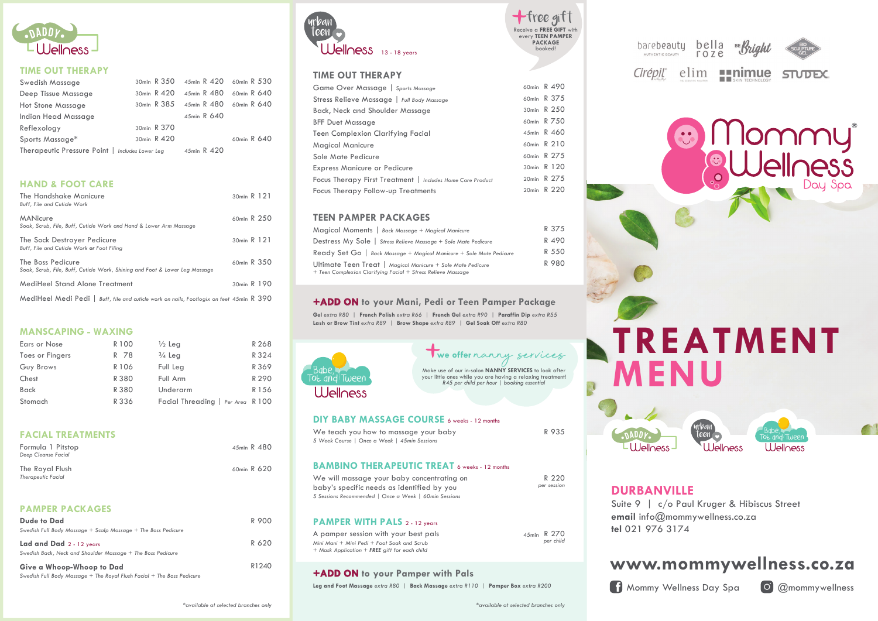

#### **TIME OUT THERAPY**

| Swedish Massage                                 |             | 30min R 350 45min R 420 60min R 530 |             |
|-------------------------------------------------|-------------|-------------------------------------|-------------|
| Deep Tissue Massage                             | 30min R 420 | 45min R 480 60min R 640             |             |
| <b>Hot Stone Massage</b>                        |             | 30min R 385 45min R 480 60min R 640 |             |
| Indian Head Massage                             |             | 45min R 640                         |             |
| Reflexology                                     | 30min R 370 |                                     |             |
| Sports Massage*                                 | 30min R 420 |                                     | 60min R 640 |
| Therapeutic Pressure Point   Includes Lower Leg |             | 45min R 420                         |             |

#### **HAND & FOOT CARE**

| The Handshake Manicure<br><b>Buff.</b> File and Cuticle Work                                     | 30min R 121 |  |
|--------------------------------------------------------------------------------------------------|-------------|--|
| <b>MANicure</b><br>Soak, Scrub, File, Buff, Cuticle Work and Hand & Lower Arm Massage            | 60min R 250 |  |
| The Sock Destroyer Pedicure<br>Buff, File and Cuticle Work or Foot Filina                        | 30min R 121 |  |
| The Boss Pedicure<br>Soak, Scrub, File, Buff, Cuticle Work, Shining and Foot & Lower Leg Massage | 60min R 350 |  |
| MediHeel Stand Alone Treatment                                                                   | 30min R 190 |  |
| MediHeel Medi Pedi I<br>Buff, file and cuticle work on nails, Footlogix on feet 45min R 390      |             |  |

#### **MANSCAPING - WAXING**

| Ears or Nose           | R 100 | $\frac{1}{2}$ Leg                 | R 268 |
|------------------------|-------|-----------------------------------|-------|
| <b>Toes or Fingers</b> | R 78  | $\frac{3}{4}$ Leg                 | R 324 |
| Guy Brows              | R 106 | Full Leg                          | R 369 |
| Chest                  | R 380 | Full Arm                          | R 290 |
| <b>Back</b>            | R 380 | Underarm                          | R 156 |
| Stomach                | R 336 | Facial Threading   Per Area R 100 |       |

#### **FACIAL TREATMENTS**

| Formula 1 Pitstop<br>Deep Cleanse Facial     | 45min R 480 |  |
|----------------------------------------------|-------------|--|
| The Royal Flush<br><b>Therapeutic Facial</b> | 60min R 620 |  |

#### **PAMPER PACKAGES**

| Dude to Dad<br>Swedish Full Body Massage + Scalp Massage + The Boss Pedicure                        | R 900 |
|-----------------------------------------------------------------------------------------------------|-------|
| Lad and Dad 2 - 12 years<br>Swedish Back, Neck and Shoulder Massage + The Boss Pedicure             | R 620 |
| Give a Whoop-Whoop to Dad<br>Swedish Full Body Massage + The Royal Flush Facial + The Boss Pedicure | R1240 |



#### **TIME OUT THERAPY**

| Game Over Massage   Sports Massage                         | 60min R 490 |
|------------------------------------------------------------|-------------|
| Stress Relieve Massage   Full Body Massage                 | 60min R 375 |
| Back, Neck and Shoulder Massage                            | 30min R 250 |
| <b>BFF Duet Massage</b>                                    | 60min R 750 |
| Teen Complexion Clarifying Facial                          | 45min R 460 |
| Magical Manicure                                           | 60min R 210 |
| Sole Mate Pedicure                                         | 60min R 275 |
| <b>Express Manicure or Pedicure</b>                        | 30min R 120 |
| Focus Therapy First Treatment   Includes Home Care Product | 20min R 275 |
| Focus Therapy Follow-up Treatments                         | 20min R 220 |

#### **TEEN PAMPER PACKAGES**

| Magical Moments   Back Massage + Magical Manicure                                                                           | R 375 |
|-----------------------------------------------------------------------------------------------------------------------------|-------|
| Destress My Sole   Stress Relieve Massage + Sole Mate Pedicure                                                              | R 490 |
| Ready Set Go   Back Massage + Magical Manicure + Sole Mate Pedicure                                                         | R 550 |
| Ultimate Teen Treat   Magical Manicure + Sole Mate Pedicure<br>+ Teen Complexion Clarifying Facial + Stress Relieve Massage | R 980 |

#### **+ADD ON ON to your Mani, Pedi or Teen Pamper Package**

**Gel** *extra R80 |* **French Polish** *extra R66 |* **French Gel** *extra R90 |* **Paraffin Dip** *extra R55* **Lash or Brow Tint** *extra R89 |* **Brow Shape** *extra R89 |* **Gel Soak Off** *extra R80*



# **Twe offer** nanny services

**PACKAGE** booked!

+free gift

*R45 per child per hour | booking essential*

#### **DIY BABY MASSAGE COURSE** 6 weeks - 12 months

| We teach you how to massage your baby        |  |
|----------------------------------------------|--|
| 5 Week Course   Once a Week   45min Sessions |  |
|                                              |  |

#### **BAMBINO THERAPEUTIC TREAT** 6 weeks - 12 months

| We will massage your baby concentrating on            |  |
|-------------------------------------------------------|--|
| baby's specific needs as identified by you            |  |
| 5 Sessions Recommended   Once a Week   60min Sessions |  |

#### **PAMPER WITH PALS** 2 - 12 years

| A pamper session with your best pals                 | 45min R 270 |
|------------------------------------------------------|-------------|
| Mini Mani + Mini Pedi + Foot Soak and Scrub          | per child   |
| + Mask Application + <b>FREE</b> aift for each child |             |

#### **+ADD ON ON to your Pamper with Pals**

**Leg and Foot Massage** *extra R80 |* **Back Massage** *extra R110 |* **Pamper Box** *extra R200*



elim **Finimue** STUDEX.

# Mommy 3

**TREATMENT MENU**

## **DURBANVILLE**

 $-11$   $\overline{\phantom{1}}$   $\overline{\phantom{1}}$ 

Suite 9 | c/o Paul Kruger & Hibiscus Street **email** info@mommywellness.co.za **tel** 021 976 3174

# **www.mommywellness.co.za**

teen <del>B</del>abe,

<u>I</u> I <u>Mondes</u>

Tot and Tween

**A** Mommy Wellness Day Spa **C** @mommywellness

R 935

R 220 *per session*